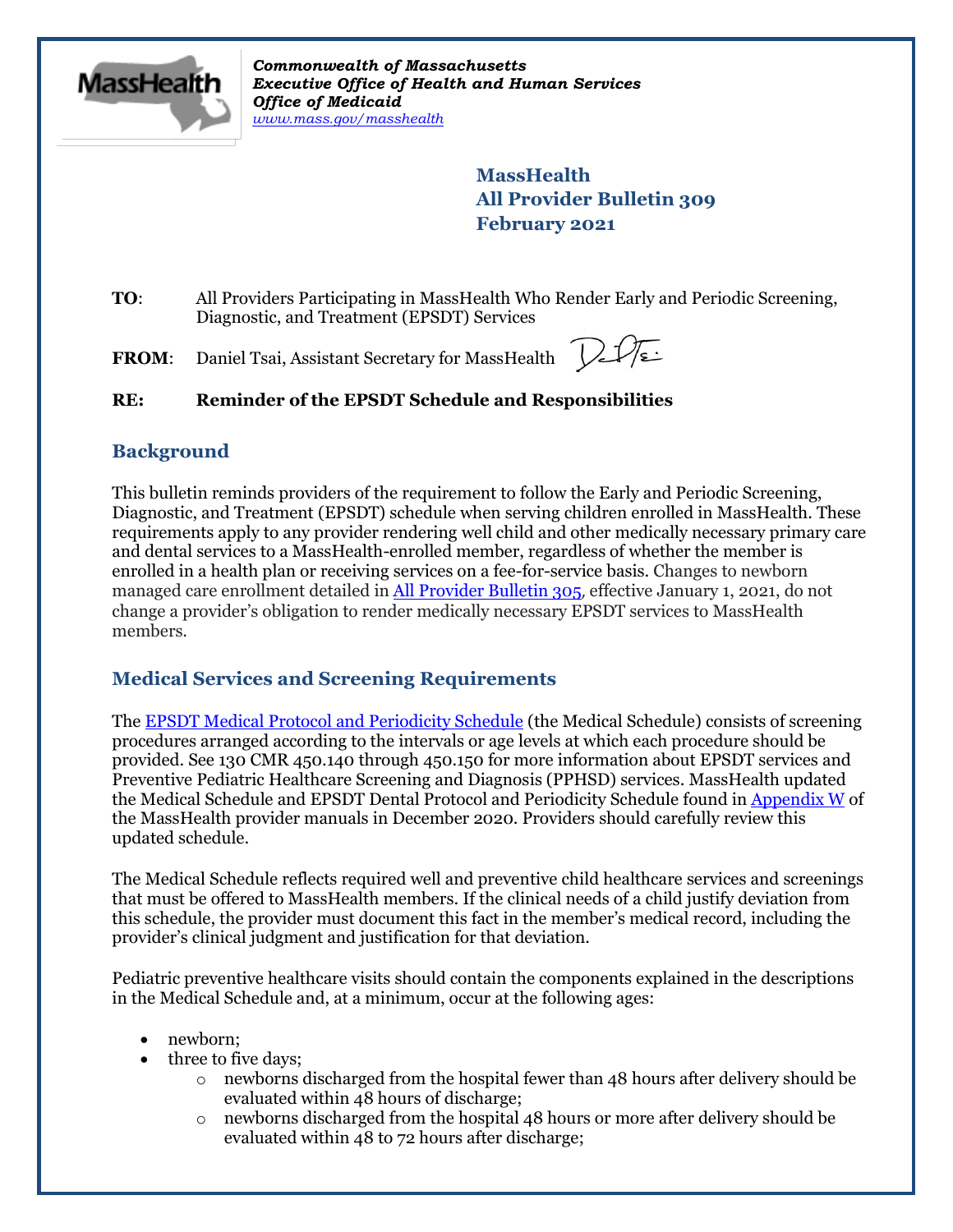

*Commonwealth of Massachusetts Executive Office of Health and Human Services Office of Medicaid [www.mass.gov/masshealth](http://www.mass.gov/masshealth)*

> **MassHealth All Provider Bulletin 309 February 2021**

**TO**: All Providers Participating in MassHealth Who Render Early and Periodic Screening, Diagnostic, and Treatment (EPSDT) Services

FROM: Daniel Tsai, Assistant Secretary for MassHealth

# **RE: Reminder of the EPSDT Schedule and Responsibilities**

# **Background**

This bulletin reminds providers of the requirement to follow the Early and Periodic Screening, Diagnostic, and Treatment (EPSDT) schedule when serving children enrolled in MassHealth. These requirements apply to any provider rendering well child and other medically necessary primary care and dental services to a MassHealth-enrolled member, regardless of whether the member is enrolled in a health plan or receiving services on a fee-for-service basis. Changes to newborn managed care enrollment detailed i[n All Provider Bulletin 305](https://www.mass.gov/lists/all-provider-bulletins), effective January 1, 2021, do not change a provider's obligation to render medically necessary EPSDT services to MassHealth members.

# **Medical Services and Screening Requirements**

The [EPSDT Medical Protocol and Periodicity Schedule](http://www.mass.gov/doc/appendix-w-epsdt-services-medical-and-dental-protocols-and-periodicity-schedules/download) (the Medical Schedule) consists of screening procedures arranged according to the intervals or age levels at which each procedure should be provided. See 130 CMR 450.140 through 450.150 for more information about EPSDT services and Preventive Pediatric Healthcare Screening and Diagnosis (PPHSD) services. MassHealth updated the Medical Schedule and EPSDT Dental Protocol and Periodicity Schedule found i[n Appendix W](http://www.mass.gov/doc/appendix-w-epsdt-services-medical-and-dental-protocols-and-periodicity-schedules/download) of the MassHealth provider manuals in December 2020. Providers should carefully review this updated schedule.

The Medical Schedule reflects required well and preventive child healthcare services and screenings that must be offered to MassHealth members. If the clinical needs of a child justify deviation from this schedule, the provider must document this fact in the member's medical record, including the provider's clinical judgment and justification for that deviation.

Pediatric preventive healthcare visits should contain the components explained in the descriptions in the Medical Schedule and, at a minimum, occur at the following ages:

- newborn:
- three to five days;
	- $\circ$  newborns discharged from the hospital fewer than 48 hours after delivery should be evaluated within 48 hours of discharge;
	- o newborns discharged from the hospital 48 hours or more after delivery should be evaluated within 48 to 72 hours after discharge;